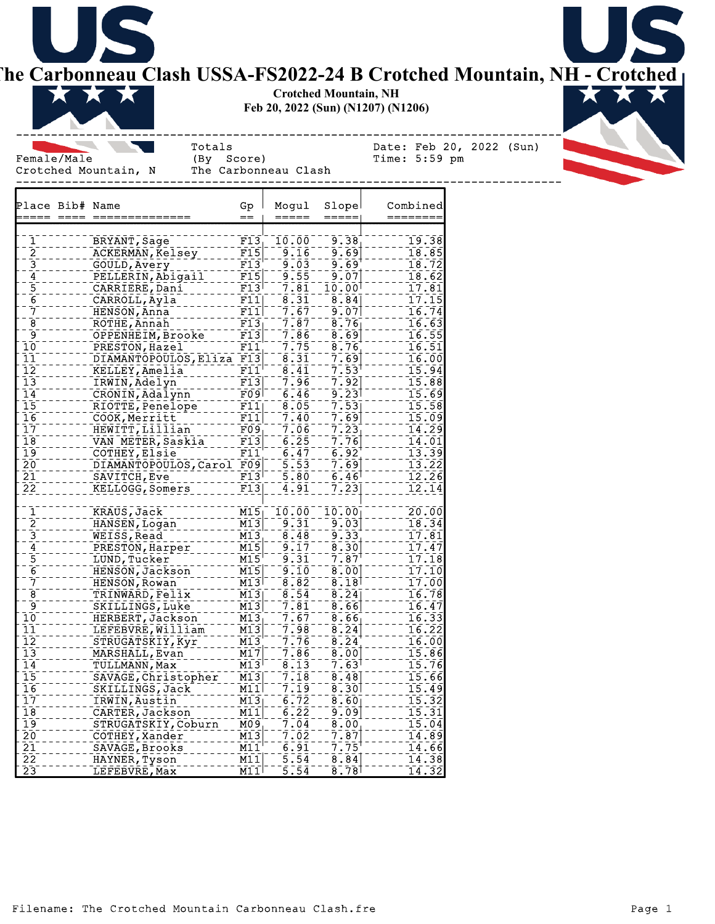

**The Carbonneau Clash USSA-FS2022-24 B Crotched Mountain, NH - Crotched** 

**Crotched Mountain, NH Feb 20, 2022 (Sun) (N1207) (N1206)**



Female/Male (By Score) Time: 5:59 pm

------------------------------------------------------------------------------ Totals Date: Feb 20, 2022 (Sun)

Crotched Mountain, N The Carbonneau Clash ------------------------------------------------------------------------------ Place Bib# Name Gp Mogul Slope Combined ===== ==== ============== == ===== ===== ======== 1 BRYANT,Sage F13 10.00 9.38 19.38 2 ACKERMAN,Kelsey F15 9.16 9.69 18.85 GOULD, Avery F13 9.03 9.69 18.72<br>
PELLERIN, Abigail F15 9.55 9.07 18.62 4 PELLERIN,Abigail F15 9.55 9.07 18.62 5 CARRIERE, Dani F13 7.81 10.00 17.81<br>6 CARROLL, Ayla F11 8.31 8.84  $\frac{6}{7}$  ------- CARROLL, Ayla  $\frac{F11}{F11}$  -  $\frac{8.31}{6.67}$  --8.84 17.15<br>7 ------ HENSON, Anna 17.15 7 HENSON, Anna F11 8 ROTHE, Annah F13 7.87 8.76 16.63<br>9 ROTHE, Annah F13 7.87 8.76 16.55 OPPENHEIM,Brooke Particle 2.86 - 8.69 2001 - 16.55<br>PRESTON,Bazel - Particle 2.75 - 8.76 - - - 16.51 10 PRESTON, Hazel F11 7.75 8.76 100 16.51<br>11 10 DIAMANTOPOULOS, Eliza F13 8.31 7.69 1000 16.00 11 DIAMANTOPOULOS, Eliza F13 8.31 7.69<br>12 10 RELLEY, Amelia F11 8.41 7.53 KELLEY,Amelia F11 8.41 7.53 15.94<br>12 TRWIN,Adelyn F13 7.96 7.92 13 IRWIN, Adelyn F13 7.96 7.92 111 15.88<br>14 11 12 20 11 15.09 11 15.09 11 16.69<br>15 11 12 20 11 15.58 16 17 18 17 18 17 18 17 18 17 18 17 18 17 18 17 18 17 18 17 18 17 18 17 18 17 18 17 18 14 CRONIN, Adalynn F09 6.46 15 15 RIOTTE, Penelope F11 8.05 7.53 1000 15.58<br>16 COOK, Merritt F11 7.40 7.69 1000 15.09 16 COOK, Merritt F11 7.40 7.69 15.09<br>17 HEWITT, Lillian F09 7.06 7.23 17 19 - 12 - HEWITT, Lillian F09 - 7.06 7 7.23 1 - 14.29<br>18 - 14.01 WAN METER, Saskia F13 - 6.25 7.76 - 14.01 VAN METER, Saskia F13 6.25 - 7.76 - - - - 14.01<br>COTHEY, Elsie F11 - 6.47 - 6.92 19 COTHEY, Elsie F11 6.47 6.92 20 120 DIAMANTOPOULOS, Carol F09 15.53 7.69 100 13.22<br>21 december - SAVITCH, Eve 1980 15.80 16.46 100 12.26 21 SAVITCH,Eve F13 5.80 6.46 12.26 KELLOGG, Somers F13 4.91 1 KRAUS,Jack M15 10.00 10.00 20.00 2 HANSEN, Logan M13 9.31 9.03 18.34<br>3 HANSEN, Read M13 9.33<br>4 HANSEN Read M15 9.17 8.30 3 WEISS,Read M13 8.48 9.33 17.81 4 PRESTON, Harper 2007 - 17.47 2007 - 2015 - 2016 2017 - 2016 2017 - 2017 - 2017 - 2017 - 2018 2017 - 2018 201<br>- 5 Process - TUND, Tucker 2017 - 2018 2017 - 2018 2019 - 2018 2019 - 2018 2019 - 2018 2019 2018 2019 2018 20<br>-5 \_\_\_\_\_\_\_\_ LUND,Tucker \_\_\_\_\_\_\_\_\_\_ M15 \_ \_ 9.31 \_ \_ 7.87 \_\_\_\_\_\_\_ 17.18<br>6 \_\_\_\_\_\_\_\_ HENSON,Jackson \_\_\_\_\_\_\_ M15 \_ \_ 9.10 \_ \_ 8.00 \_\_\_\_\_\_\_ 17.10 6 HENSON, Jackson M15  $\frac{7}{8}$  - - - - - - HENSON, Rowan - - - - - - - M13 - - 8.82 - - 8.18 - - - - - - 17.00<br>8 - - - - - - - TRINWARD, Felix - - - - - - M13 - - 8.54 - - 8.24 - - - - - - 16.78 8 TRINWARD, Felix M13 8.54 8.24  $\overline{9}$  SKILLINGS, Luke M13 7.81 8.66 1.1.1.16.47<br>  $\overline{10}$  HERBERT, Jackson M13 7.67 8.66  $\overline{10}$ 10 ------ HERBERT, Jackson ---- M13 --7.67 -- 8.66 ------ 16.33<br>11 ------ LEFEBVRE, William --- M13 --7.98 -- 8.24 ------ 16.22 11 CONTROLLETEBVRE, WILLIAM M13 77.98 8.24 10000116.22<br>12 10 16:22 STRUGATSKIY, Kyr 1113 71.76 18.24 1000116.00 STRUGATSKIY,Kyr ----- M13 --7.76 --8.24 ------ 16.00<br>MARSHALL,Evan ------ M17 --7.86 --8.00 ----- 15.86 13 MARSHALL, Evan M17 14 THE TULLMANN, MAX THE M13 768.13 7.63 2012 15.76<br>15 THE SAVAGE, Christopher - M13 77.18 78.48 7 15 SAVAGE, Christopher M13 77.18 8.48 16.66<br>16 SKILLINGS, Jack M11 7.19 8.30 100 15.49 16  $-$  SKILLINGS, Jack M11  $-$  7.19  $-$  8.30  $-$  15.49<br>17  $-$  TRWIN, Austin M13  $-$  6.72  $-$  8.60 17 IRWIN, Austin M13 6.72 8.60 16.32<br>18 CARTER, Jackson M11 6.22 9.09 16.31 CARTER,Jackson \_\_\_\_\_ M11 \_ 6.22 \_ \_ 9.09 \_\_\_\_\_\_ 15.31<br>STRUGATSKIY,Coburn M09 \_ -7.04 \_ 8.00 \_\_\_\_\_\_ 15.04 19 STRUGATSKIY, Coburn 20 COTHEY,Xander M13 7.02 7.87 14.89 21 SAVAGE, Brooks M11 6.91 7.75 14.66<br>22 HAYNER, Tyson M11 5.54 8.94

LEFEBVRE, Max

 $\frac{22}{23}$ ELEMENT PROVIDER, Tyson M11  $-5.54$ <br>  $\frac{1}{23}$ <br>  $\frac{1}{23}$ <br>  $\frac{1}{23}$ <br>  $\frac{1}{23}$ <br>  $\frac{1}{23}$ <br>  $\frac{1}{23}$